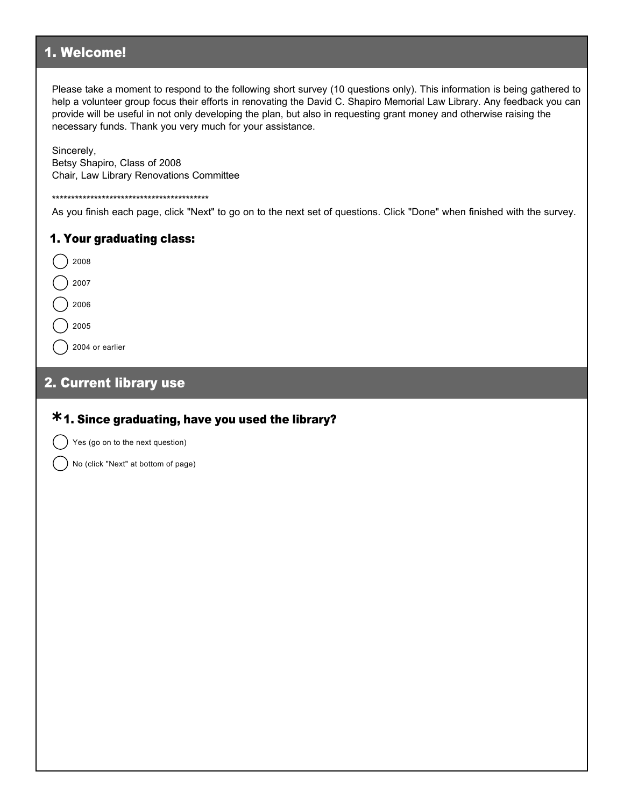## 1. Welcome!

Please take a moment to respond to the following short survey (10 questions only). This information is being gathered to help a volunteer group focus their efforts in renovating the David C. Shapiro Memorial Law Library. Any feedback you can provide will be useful in not only developing the plan, but also in requesting grant money and otherwise raising the necessary funds. Thank you very much for your assistance.

Sincerely, Betsy Shapiro, Class of 2008 Chair, Law Library Renovations Committee

#### \*\*\*\*\*\*\*\*\*\*\*\*\*\*\*\*\*\*\*\*\*\*\*\*\*\*\*\*\*\*\*\*\*\*\*\*\*\*\*\*\*

As you finish each page, click "Next" to go on to the next set of questions. Click "Done" when finished with the survey.

#### 1. Your graduating class:

### 2. Current library use

# 1. Since graduating, have you used the library? **\***

Yes (go on to the next question)

No (click "Next" at bottom of page)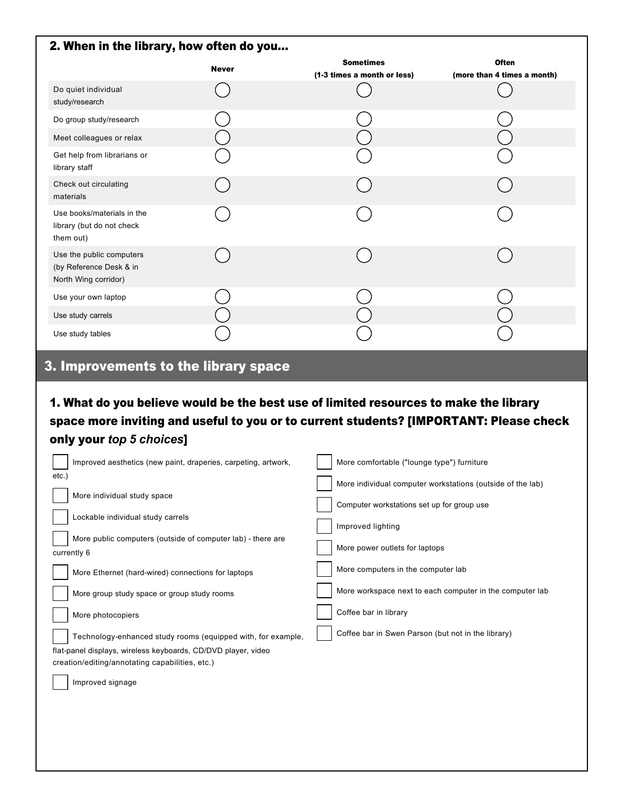| 2. When in the library, how often do you                                    |              |                                                 |                                             |  |
|-----------------------------------------------------------------------------|--------------|-------------------------------------------------|---------------------------------------------|--|
|                                                                             | <b>Never</b> | <b>Sometimes</b><br>(1-3 times a month or less) | <b>Often</b><br>(more than 4 times a month) |  |
| Do quiet individual<br>study/research                                       |              |                                                 |                                             |  |
| Do group study/research                                                     |              |                                                 |                                             |  |
| Meet colleagues or relax                                                    |              |                                                 |                                             |  |
| Get help from librarians or<br>library staff                                |              |                                                 |                                             |  |
| Check out circulating<br>materials                                          |              |                                                 |                                             |  |
| Use books/materials in the<br>library (but do not check<br>them out)        |              |                                                 |                                             |  |
| Use the public computers<br>(by Reference Desk & in<br>North Wing corridor) |              |                                                 |                                             |  |
| Use your own laptop                                                         |              |                                                 |                                             |  |
| Use study carrels                                                           |              |                                                 |                                             |  |
| Use study tables                                                            |              |                                                 |                                             |  |

## 3. Improvements to the library space

1. What do you believe would be the best use of limited resources to make the library space more inviting and useful to you or to current students? [IMPORTANT: Please check only your *top 5 choices*]

| Improved aesthetics (new paint, draperies, carpeting, artwork, | More comfortable ("lounge type") furniture                 |
|----------------------------------------------------------------|------------------------------------------------------------|
| etc.)                                                          | More individual computer workstations (outside of the lab) |
| More individual study space                                    | Computer workstations set up for group use                 |
| Lockable individual study carrels                              |                                                            |
| More public computers (outside of computer lab) - there are    | Improved lighting                                          |
| currently 6                                                    | More power outlets for laptops                             |
| More Ethernet (hard-wired) connections for laptops             | More computers in the computer lab                         |
| More group study space or group study rooms                    | More workspace next to each computer in the computer lab   |
| More photocopiers                                              | Coffee bar in library                                      |
| Technology-enhanced study rooms (equipped with, for example,   | Coffee bar in Swen Parson (but not in the library)         |
| flat-panel displays, wireless keyboards, CD/DVD player, video  |                                                            |
| creation/editing/annotating capabilities, etc.)                |                                                            |
| Improved signage                                               |                                                            |
|                                                                |                                                            |
|                                                                |                                                            |
|                                                                |                                                            |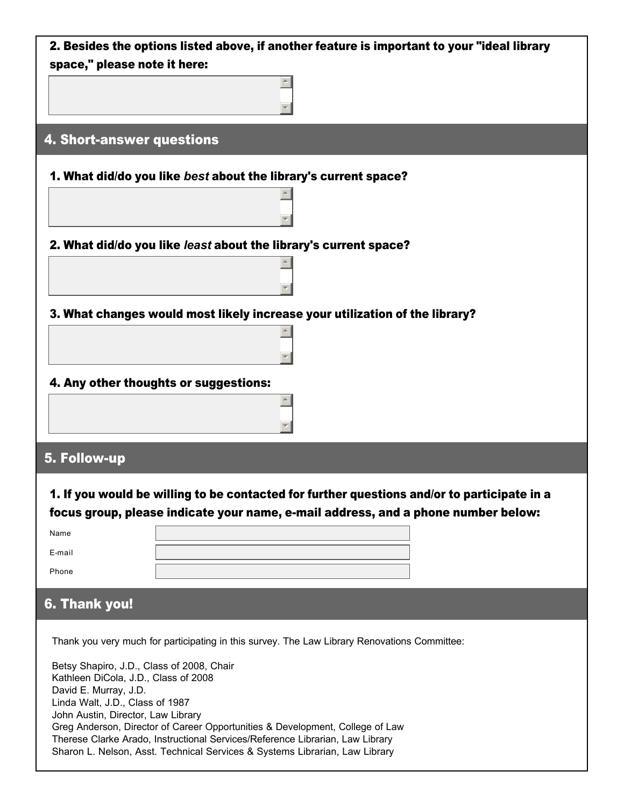| 2. Besides the options listed above, if another feature is important to your "ideal library                                                                  |  |  |  |
|--------------------------------------------------------------------------------------------------------------------------------------------------------------|--|--|--|
| space," please note it here:                                                                                                                                 |  |  |  |
|                                                                                                                                                              |  |  |  |
|                                                                                                                                                              |  |  |  |
| 4. Short-answer questions                                                                                                                                    |  |  |  |
| 1. What did/do you like best about the library's current space?                                                                                              |  |  |  |
|                                                                                                                                                              |  |  |  |
|                                                                                                                                                              |  |  |  |
| 2. What did/do you like least about the library's current space?                                                                                             |  |  |  |
|                                                                                                                                                              |  |  |  |
|                                                                                                                                                              |  |  |  |
| 3. What changes would most likely increase your utilization of the library?                                                                                  |  |  |  |
|                                                                                                                                                              |  |  |  |
|                                                                                                                                                              |  |  |  |
| 4. Any other thoughts or suggestions:                                                                                                                        |  |  |  |
|                                                                                                                                                              |  |  |  |
|                                                                                                                                                              |  |  |  |
|                                                                                                                                                              |  |  |  |
| 5. Follow-up                                                                                                                                                 |  |  |  |
|                                                                                                                                                              |  |  |  |
| 1. If you would be willing to be contacted for further questions and/or to participate in a                                                                  |  |  |  |
| focus group, please indicate your name, e-mail address, and a phone number below:<br>Name                                                                    |  |  |  |
| E-mail                                                                                                                                                       |  |  |  |
| Phone                                                                                                                                                        |  |  |  |
|                                                                                                                                                              |  |  |  |
| 6. Thank you!                                                                                                                                                |  |  |  |
|                                                                                                                                                              |  |  |  |
| Thank you very much for participating in this survey. The Law Library Renovations Committee:                                                                 |  |  |  |
| Betsy Shapiro, J.D., Class of 2008, Chair<br>Kathleen DiCola, J.D., Class of 2008                                                                            |  |  |  |
| David E. Murray, J.D.                                                                                                                                        |  |  |  |
| Linda Walt, J.D., Class of 1987<br>John Austin, Director, Law Library                                                                                        |  |  |  |
| Greg Anderson, Director of Career Opportunities & Development, College of Law                                                                                |  |  |  |
| Therese Clarke Arado, Instructional Services/Reference Librarian, Law Library<br>Sharon L. Nelson, Asst. Technical Services & Systems Librarian, Law Library |  |  |  |
|                                                                                                                                                              |  |  |  |